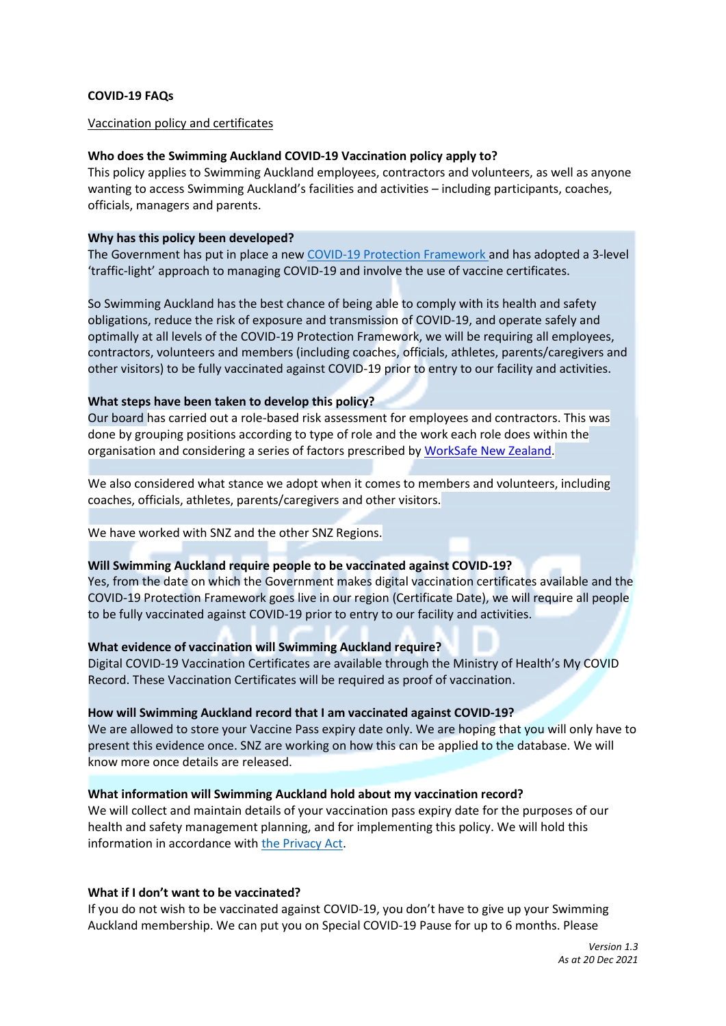#### **COVID-19 FAQs**

#### Vaccination policy and certificates

#### **Who does the Swimming Auckland COVID-19 Vaccination policy apply to?**

This policy applies to Swimming Auckland employees, contractors and volunteers, as well as anyone wanting to access Swimming Auckland's facilities and activities – including participants, coaches, officials, managers and parents.

#### **Why has this policy been developed?**

The Government has put in place a new COVID-19 Protection Framework and has adopted a 3-level 'traffic-light' approach to managing COVID-19 and involve the use of vaccine certificates.

So Swimming Auckland has the best chance of being able to comply with its health and safety obligations, reduce the risk of exposure and transmission of COVID-19, and operate safely and optimally at all levels of the COVID-19 Protection Framework, we will be requiring all employees, contractors, volunteers and members (including coaches, officials, athletes, parents/caregivers and other visitors) to be fully vaccinated against COVID-19 prior to entry to our facility and activities.

#### **What steps have been taken to develop this policy?**

Our board has carried out a role-based risk assessment for employees and contractors. This was done by grouping positions according to type of role and the work each role does within the organisation and considering a series of factors prescribed by WorkSafe New Zealand.

We also considered what stance we adopt when it comes to members and volunteers, including coaches, officials, athletes, parents/caregivers and other visitors.

#### We have worked with SNZ and the other SNZ Regions.

#### **Will Swimming Auckland require people to be vaccinated against COVID-19?**

Yes, from the date on which the Government makes digital vaccination certificates available and the COVID-19 Protection Framework goes live in our region (Certificate Date), we will require all people to be fully vaccinated against COVID-19 prior to entry to our facility and activities.

## **What evidence of vaccination will Swimming Auckland require?**

Digital COVID-19 Vaccination Certificates are available through the Ministry of Health's My COVID Record. These Vaccination Certificates will be required as proof of vaccination.

#### **How will Swimming Auckland record that I am vaccinated against COVID-19?**

We are allowed to store your Vaccine Pass expiry date only. We are hoping that you will only have to present this evidence once. SNZ are working on how this can be applied to the database. We will know more once details are released.

## **What information will Swimming Auckland hold about my vaccination record?**

We will collect and maintain details of your vaccination pass expiry date for the purposes of our health and safety management planning, and for implementing this policy. We will hold this information in accordance with the Privacy Act.

#### **What if I don't want to be vaccinated?**

If you do not wish to be vaccinated against COVID-19, you don't have to give up your Swimming Auckland membership. We can put you on Special COVID-19 Pause for up to 6 months. Please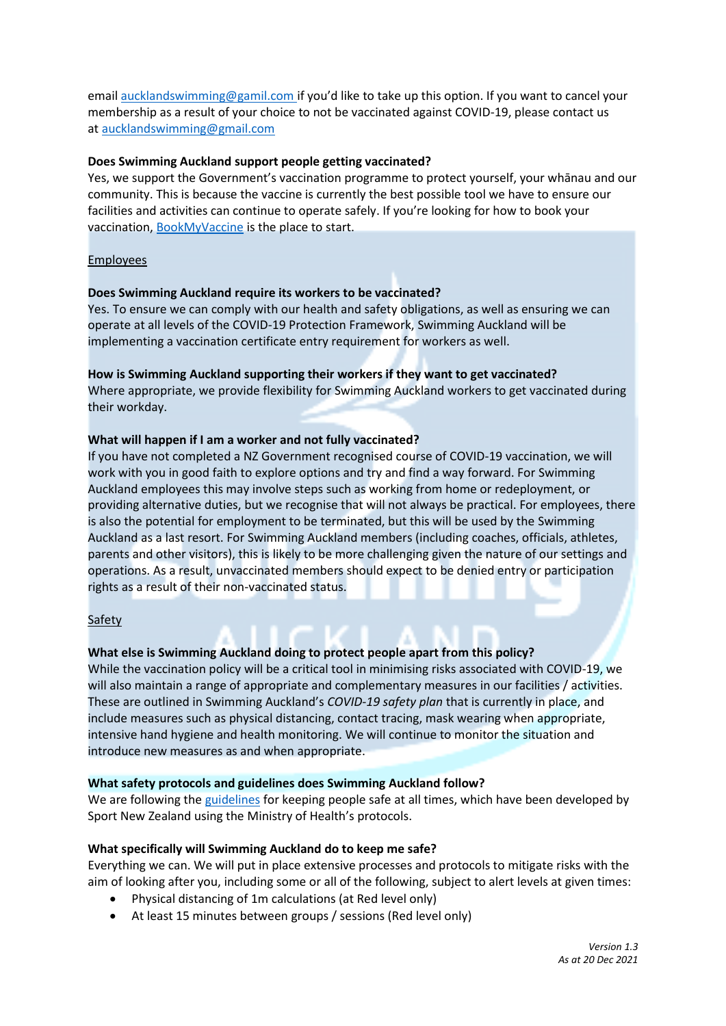email [aucklandswimming@gamil.com](mailto:aucklandswimming@gamil.com) if you'd like to take up this option. If you want to cancel your membership as a result of your choice to not be vaccinated against COVID-19, please contact us at aucklandswimming@gmail.com

# **Does Swimming Auckland support people getting vaccinated?**

Yes, we support the Government's vaccination programme to protect yourself, your whānau and our community. This is because the vaccine is currently the best possible tool we have to ensure our facilities and activities can continue to operate safely. If you're looking for how to book your vaccination, BookMyVaccine is the place to start.

# Employees

## **Does Swimming Auckland require its workers to be vaccinated?**

Yes. To ensure we can comply with our health and safety obligations, as well as ensuring we can operate at all levels of the COVID-19 Protection Framework, Swimming Auckland will be implementing a vaccination certificate entry requirement for workers as well.

## **How is Swimming Auckland supporting their workers if they want to get vaccinated?**

Where appropriate, we provide flexibility for Swimming Auckland workers to get vaccinated during their workday.

# **What will happen if I am a worker and not fully vaccinated?**

If you have not completed a NZ Government recognised course of COVID-19 vaccination, we will work with you in good faith to explore options and try and find a way forward. For Swimming Auckland employees this may involve steps such as working from home or redeployment, or providing alternative duties, but we recognise that will not always be practical. For employees, there is also the potential for employment to be terminated, but this will be used by the Swimming Auckland as a last resort. For Swimming Auckland members (including coaches, officials, athletes, parents and other visitors), this is likely to be more challenging given the nature of our settings and operations. As a result, unvaccinated members should expect to be denied entry or participation rights as a result of their non-vaccinated status.

## Safety

# **What else is Swimming Auckland doing to protect people apart from this policy?**

While the vaccination policy will be a critical tool in minimising risks associated with COVID-19, we will also maintain a range of appropriate and complementary measures in our facilities / activities. These are outlined in Swimming Auckland's *COVID-19 safety plan* that is currently in place, and include measures such as physical distancing, contact tracing, mask wearing when appropriate, intensive hand hygiene and health monitoring. We will continue to monitor the situation and introduce new measures as and when appropriate.

## **What safety protocols and guidelines does Swimming Auckland follow?**

We are following the guidelines for keeping people safe at all times, which have been developed by Sport New Zealand using the Ministry of Health's protocols.

## **What specifically will Swimming Auckland do to keep me safe?**

Everything we can. We will put in place extensive processes and protocols to mitigate risks with the aim of looking after you, including some or all of the following, subject to alert levels at given times:

- Physical distancing of 1m calculations (at Red level only)
- At least 15 minutes between groups / sessions (Red level only)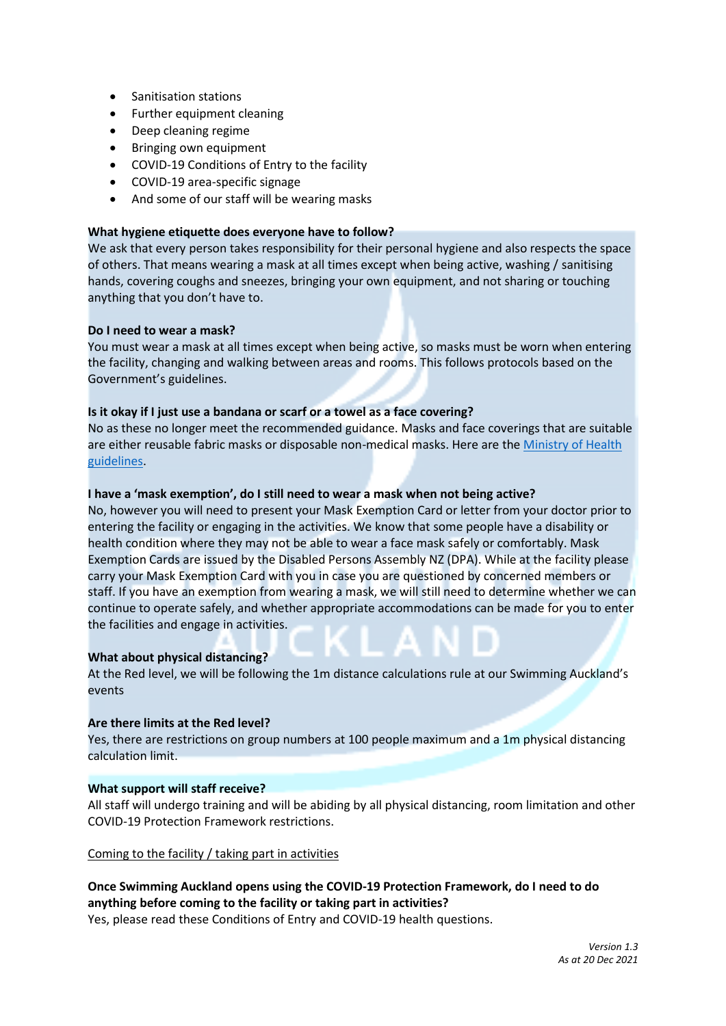- Sanitisation stations
- Further equipment cleaning
- Deep cleaning regime
- Bringing own equipment
- COVID-19 Conditions of Entry to the facility
- COVID-19 area-specific signage
- And some of our staff will be wearing masks

#### **What hygiene etiquette does everyone have to follow?**

We ask that every person takes responsibility for their personal hygiene and also respects the space of others. That means wearing a mask at all times except when being active, washing / sanitising hands, covering coughs and sneezes, bringing your own equipment, and not sharing or touching anything that you don't have to.

## **Do I need to wear a mask?**

You must wear a mask at all times except when being active, so masks must be worn when entering the facility, changing and walking between areas and rooms. This follows protocols based on the Government's guidelines.

## **Is it okay if I just use a bandana or scarf or a towel as a face covering?**

No as these no longer meet the recommended guidance. Masks and face coverings that are suitable are either reusable fabric masks or disposable non-medical masks. Here are the Ministry of Health guidelines.

#### **I have a 'mask exemption', do I still need to wear a mask when not being active?**

No, however you will need to present your Mask Exemption Card or letter from your doctor prior to entering the facility or engaging in the activities. We know that some people have a disability or health condition where they may not be able to wear a face mask safely or comfortably. Mask Exemption Cards are issued by the Disabled Persons Assembly NZ (DPA). While at the facility please carry your Mask Exemption Card with you in case you are questioned by concerned members or staff. If you have an exemption from wearing a mask, we will still need to determine whether we can continue to operate safely, and whether appropriate accommodations can be made for you to enter the facilities and engage in activities.

## **What about physical distancing?**

At the Red level, we will be following the 1m distance calculations rule at our Swimming Auckland's events

## **Are there limits at the Red level?**

Yes, there are restrictions on group numbers at 100 people maximum and a 1m physical distancing calculation limit.

#### **What support will staff receive?**

All staff will undergo training and will be abiding by all physical distancing, room limitation and other COVID-19 Protection Framework restrictions.

Coming to the facility / taking part in activities

# **Once Swimming Auckland opens using the COVID-19 Protection Framework, do I need to do anything before coming to the facility or taking part in activities?**

Yes, please read these Conditions of Entry and COVID-19 health questions.